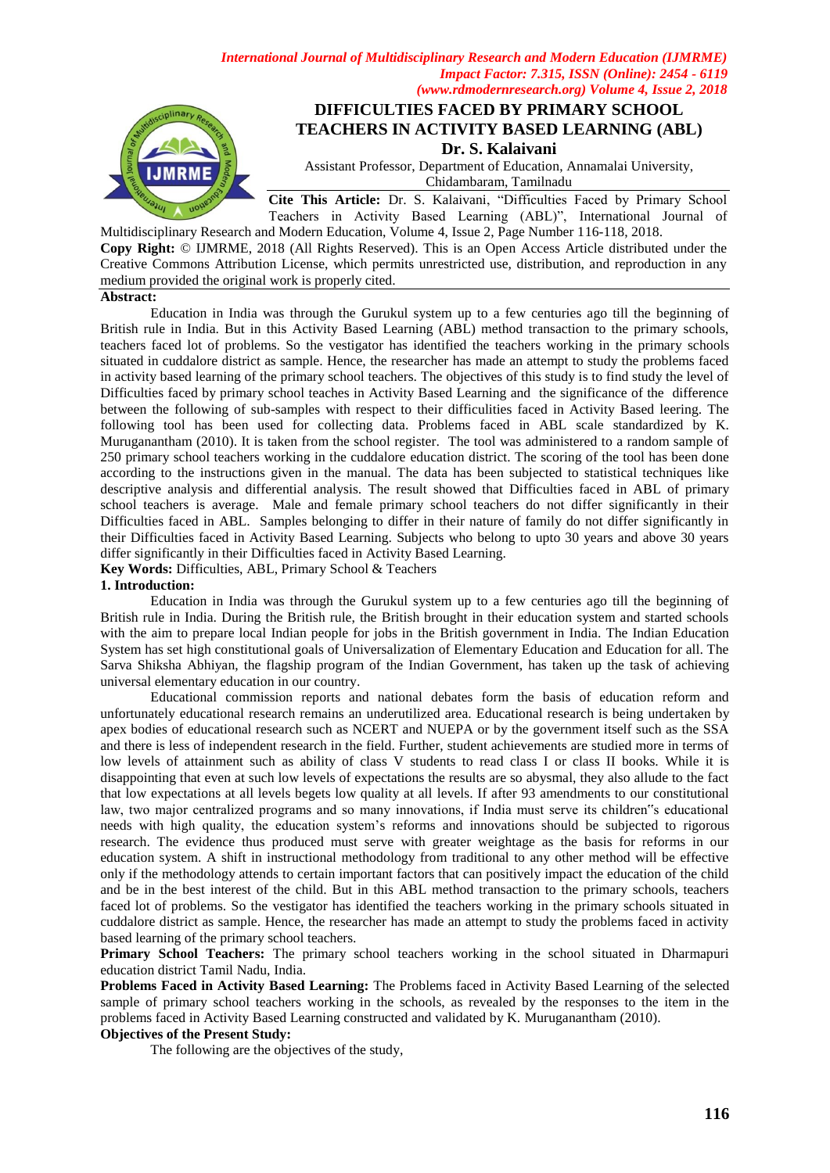*International Journal of Multidisciplinary Research and Modern Education (IJMRME) Impact Factor: 7.315, ISSN (Online): 2454 - 6119 (www.rdmodernresearch.org) Volume 4, Issue 2, 2018*



# **DIFFICULTIES FACED BY PRIMARY SCHOOL TEACHERS IN ACTIVITY BASED LEARNING (ABL)**

**Dr. S. Kalaivani**

Assistant Professor, Department of Education, Annamalai University, Chidambaram, Tamilnadu

**Cite This Article:** Dr. S. Kalaivani, "Difficulties Faced by Primary School Teachers in Activity Based Learning (ABL)", International Journal of

Multidisciplinary Research and Modern Education, Volume 4, Issue 2, Page Number 116-118, 2018. **Copy Right:** © IJMRME, 2018 (All Rights Reserved). This is an Open Access Article distributed under the Creative Commons Attribution License, which permits unrestricted use, distribution, and reproduction in any medium provided the original work is properly cited.

## **Abstract:**

Education in India was through the Gurukul system up to a few centuries ago till the beginning of British rule in India. But in this Activity Based Learning (ABL) method transaction to the primary schools, teachers faced lot of problems. So the vestigator has identified the teachers working in the primary schools situated in cuddalore district as sample. Hence, the researcher has made an attempt to study the problems faced in activity based learning of the primary school teachers. The objectives of this study is to find study the level of Difficulties faced by primary school teaches in Activity Based Learning and the significance of the difference between the following of sub-samples with respect to their difficulities faced in Activity Based leering. The following tool has been used for collecting data. Problems faced in ABL scale standardized by K. Muruganantham (2010). It is taken from the school register. The tool was administered to a random sample of 250 primary school teachers working in the cuddalore education district. The scoring of the tool has been done according to the instructions given in the manual. The data has been subjected to statistical techniques like descriptive analysis and differential analysis. The result showed that Difficulties faced in ABL of primary school teachers is average. Male and female primary school teachers do not differ significantly in their Difficulties faced in ABL. Samples belonging to differ in their nature of family do not differ significantly in their Difficulties faced in Activity Based Learning. Subjects who belong to upto 30 years and above 30 years differ significantly in their Difficulties faced in Activity Based Learning.

**Key Words:** Difficulties, ABL, Primary School & Teachers

## **1. Introduction:**

Education in India was through the Gurukul system up to a few centuries ago till the beginning of British rule in India. During the British rule, the British brought in their education system and started schools with the aim to prepare local Indian people for jobs in the British government in India. The Indian Education System has set high constitutional goals of Universalization of Elementary Education and Education for all. The Sarva Shiksha Abhiyan, the flagship program of the Indian Government, has taken up the task of achieving universal elementary education in our country.

Educational commission reports and national debates form the basis of education reform and unfortunately educational research remains an underutilized area. Educational research is being undertaken by apex bodies of educational research such as NCERT and NUEPA or by the government itself such as the SSA and there is less of independent research in the field. Further, student achievements are studied more in terms of low levels of attainment such as ability of class V students to read class I or class II books. While it is disappointing that even at such low levels of expectations the results are so abysmal, they also allude to the fact that low expectations at all levels begets low quality at all levels. If after 93 amendments to our constitutional law, two major centralized programs and so many innovations, if India must serve its children"s educational needs with high quality, the education system"s reforms and innovations should be subjected to rigorous research. The evidence thus produced must serve with greater weightage as the basis for reforms in our education system. A shift in instructional methodology from traditional to any other method will be effective only if the methodology attends to certain important factors that can positively impact the education of the child and be in the best interest of the child. But in this ABL method transaction to the primary schools, teachers faced lot of problems. So the vestigator has identified the teachers working in the primary schools situated in cuddalore district as sample. Hence, the researcher has made an attempt to study the problems faced in activity based learning of the primary school teachers.

**Primary School Teachers:** The primary school teachers working in the school situated in Dharmapuri education district Tamil Nadu, India.

**Problems Faced in Activity Based Learning:** The Problems faced in Activity Based Learning of the selected sample of primary school teachers working in the schools, as revealed by the responses to the item in the problems faced in Activity Based Learning constructed and validated by K. Muruganantham (2010).

# **Objectives of the Present Study:**

The following are the objectives of the study,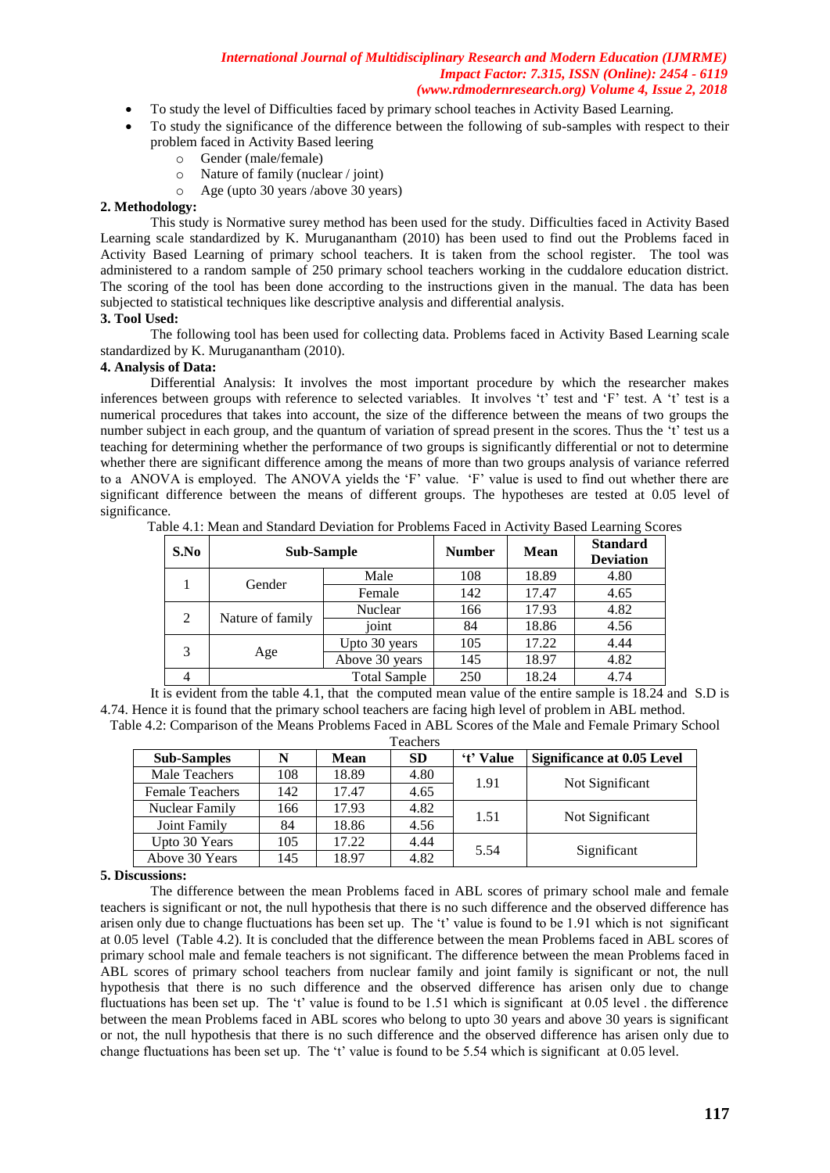#### *International Journal of Multidisciplinary Research and Modern Education (IJMRME) Impact Factor: 7.315, ISSN (Online): 2454 - 6119 (www.rdmodernresearch.org) Volume 4, Issue 2, 2018*

- To study the level of Difficulties faced by primary school teaches in Activity Based Learning.
- To study the significance of the difference between the following of sub-samples with respect to their problem faced in Activity Based leering
	- o Gender (male/female)
	- o Nature of family (nuclear / joint)
	- o Age (upto 30 years /above 30 years)

## **2. Methodology:**

This study is Normative surey method has been used for the study. Difficulties faced in Activity Based Learning scale standardized by K. Muruganantham (2010) has been used to find out the Problems faced in Activity Based Learning of primary school teachers. It is taken from the school register. The tool was administered to a random sample of 250 primary school teachers working in the cuddalore education district. The scoring of the tool has been done according to the instructions given in the manual. The data has been subjected to statistical techniques like descriptive analysis and differential analysis.

## **3. Tool Used:**

The following tool has been used for collecting data. Problems faced in Activity Based Learning scale standardized by K. Muruganantham (2010).

## **4. Analysis of Data:**

Differential Analysis: It involves the most important procedure by which the researcher makes inferences between groups with reference to selected variables. It involves "t" test and "F" test. A "t" test is a numerical procedures that takes into account, the size of the difference between the means of two groups the number subject in each group, and the quantum of variation of spread present in the scores. Thus the 't' test us a teaching for determining whether the performance of two groups is significantly differential or not to determine whether there are significant difference among the means of more than two groups analysis of variance referred to a ANOVA is employed. The ANOVA yields the "F" value. "F" value is used to find out whether there are significant difference between the means of different groups. The hypotheses are tested at 0.05 level of significance.

| S.No | Sub-Sample       | <b>Number</b>       | <b>Mean</b> | <b>Standard</b><br><b>Deviation</b> |      |
|------|------------------|---------------------|-------------|-------------------------------------|------|
|      | Gender           | Male                | 108         | 18.89                               | 4.80 |
|      |                  | Female              | 142         | 17.47                               | 4.65 |
| 2    | Nature of family | Nuclear             | 166         | 17.93                               | 4.82 |
|      |                  | joint               | 84          | 18.86                               | 4.56 |
|      | Age              | Upto 30 years       | 105         | 17.22                               | 4.44 |
|      |                  | Above 30 years      | 145         | 18.97                               | 4.82 |
|      |                  | <b>Total Sample</b> | 250         | 18.24                               | 4.74 |

Table 4.1: Mean and Standard Deviation for Problems Faced in Activity Based Learning Scores

It is evident from the table 4.1, that the computed mean value of the entire sample is 18.24 and S.D is 4.74. Hence it is found that the primary school teachers are facing high level of problem in ABL method. Table 4.2: Comparison of the Means Problems Faced in ABL Scores of the Male and Female Primary School

| <b>Teachers</b>        |     |       |           |           |                                   |  |  |  |  |
|------------------------|-----|-------|-----------|-----------|-----------------------------------|--|--|--|--|
| <b>Sub-Samples</b>     | N   | Mean  | <b>SD</b> | 't' Value | <b>Significance at 0.05 Level</b> |  |  |  |  |
| Male Teachers          | 108 | 18.89 | 4.80      | 1.91      |                                   |  |  |  |  |
| <b>Female Teachers</b> | 142 | 17.47 | 4.65      |           | Not Significant                   |  |  |  |  |
| Nuclear Family         | 166 | 17.93 | 4.82      | 1.51      | Not Significant                   |  |  |  |  |
| Joint Family           | 84  | 18.86 | 4.56      |           |                                   |  |  |  |  |
| Upto 30 Years          | 105 | 17.22 | 4.44      | 5.54      | Significant                       |  |  |  |  |
| Above 30 Years         | 145 | 18.97 | 4.82      |           |                                   |  |  |  |  |

### **5. Discussions:**

The difference between the mean Problems faced in ABL scores of primary school male and female teachers is significant or not, the null hypothesis that there is no such difference and the observed difference has arisen only due to change fluctuations has been set up. The "t" value is found to be 1.91 which is not significant at 0.05 level (Table 4.2). It is concluded that the difference between the mean Problems faced in ABL scores of primary school male and female teachers is not significant. The difference between the mean Problems faced in ABL scores of primary school teachers from nuclear family and joint family is significant or not, the null hypothesis that there is no such difference and the observed difference has arisen only due to change fluctuations has been set up. The "t" value is found to be 1.51 which is significant at 0.05 level . the difference between the mean Problems faced in ABL scores who belong to upto 30 years and above 30 years is significant or not, the null hypothesis that there is no such difference and the observed difference has arisen only due to change fluctuations has been set up. The "t" value is found to be 5.54 which is significant at 0.05 level.